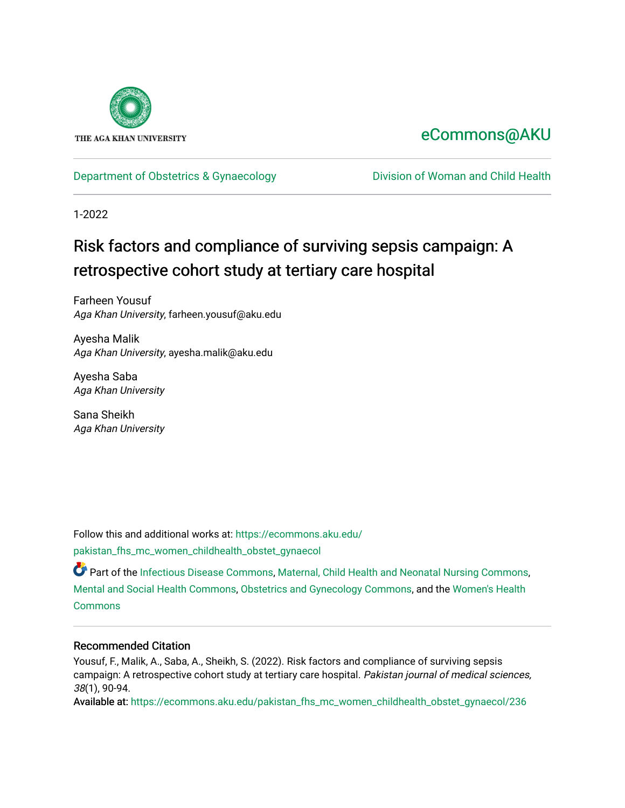

# [eCommons@AKU](https://ecommons.aku.edu/)

### [Department of Obstetrics & Gynaecology](https://ecommons.aku.edu/pakistan_fhs_mc_women_childhealth_obstet_gynaecol) Division of Woman and Child Health

1-2022

# Risk factors and compliance of surviving sepsis campaign: A retrospective cohort study at tertiary care hospital

Farheen Yousuf Aga Khan University, farheen.yousuf@aku.edu

Ayesha Malik Aga Khan University, ayesha.malik@aku.edu

Ayesha Saba Aga Khan University

Sana Sheikh Aga Khan University

Follow this and additional works at: [https://ecommons.aku.edu/](https://ecommons.aku.edu/pakistan_fhs_mc_women_childhealth_obstet_gynaecol?utm_source=ecommons.aku.edu%2Fpakistan_fhs_mc_women_childhealth_obstet_gynaecol%2F236&utm_medium=PDF&utm_campaign=PDFCoverPages) [pakistan\\_fhs\\_mc\\_women\\_childhealth\\_obstet\\_gynaecol](https://ecommons.aku.edu/pakistan_fhs_mc_women_childhealth_obstet_gynaecol?utm_source=ecommons.aku.edu%2Fpakistan_fhs_mc_women_childhealth_obstet_gynaecol%2F236&utm_medium=PDF&utm_campaign=PDFCoverPages) 

Part of the [Infectious Disease Commons,](http://network.bepress.com/hgg/discipline/689?utm_source=ecommons.aku.edu%2Fpakistan_fhs_mc_women_childhealth_obstet_gynaecol%2F236&utm_medium=PDF&utm_campaign=PDFCoverPages) [Maternal, Child Health and Neonatal Nursing Commons,](http://network.bepress.com/hgg/discipline/721?utm_source=ecommons.aku.edu%2Fpakistan_fhs_mc_women_childhealth_obstet_gynaecol%2F236&utm_medium=PDF&utm_campaign=PDFCoverPages) [Mental and Social Health Commons,](http://network.bepress.com/hgg/discipline/709?utm_source=ecommons.aku.edu%2Fpakistan_fhs_mc_women_childhealth_obstet_gynaecol%2F236&utm_medium=PDF&utm_campaign=PDFCoverPages) [Obstetrics and Gynecology Commons,](http://network.bepress.com/hgg/discipline/693?utm_source=ecommons.aku.edu%2Fpakistan_fhs_mc_women_childhealth_obstet_gynaecol%2F236&utm_medium=PDF&utm_campaign=PDFCoverPages) and the [Women's Health](http://network.bepress.com/hgg/discipline/1241?utm_source=ecommons.aku.edu%2Fpakistan_fhs_mc_women_childhealth_obstet_gynaecol%2F236&utm_medium=PDF&utm_campaign=PDFCoverPages) **[Commons](http://network.bepress.com/hgg/discipline/1241?utm_source=ecommons.aku.edu%2Fpakistan_fhs_mc_women_childhealth_obstet_gynaecol%2F236&utm_medium=PDF&utm_campaign=PDFCoverPages)** 

### Recommended Citation

Yousuf, F., Malik, A., Saba, A., Sheikh, S. (2022). Risk factors and compliance of surviving sepsis campaign: A retrospective cohort study at tertiary care hospital. Pakistan journal of medical sciences, 38(1), 90-94.

Available at: [https://ecommons.aku.edu/pakistan\\_fhs\\_mc\\_women\\_childhealth\\_obstet\\_gynaecol/236](https://ecommons.aku.edu/pakistan_fhs_mc_women_childhealth_obstet_gynaecol/236)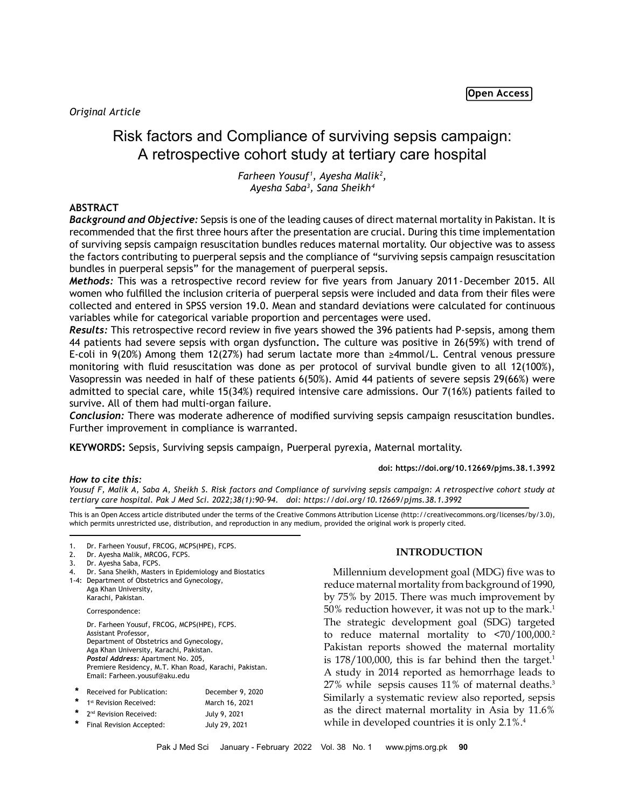## Risk factors and Compliance of surviving sepsis campaign: A retrospective cohort study at tertiary care hospital

*Farheen Yousuf1 , Ayesha Malik2 , Ayesha Saba3 , Sana Sheikh4*

#### **ABSTRACT**

*Background and Objective:* Sepsis is one of the leading causes of direct maternal mortality in Pakistan. It is recommended that the first three hours after the presentation are crucial. During this time implementation of surviving sepsis campaign resuscitation bundles reduces maternal mortality. Our objective was to assess the factors contributing to puerperal sepsis and the compliance of "surviving sepsis campaign resuscitation bundles in puerperal sepsis" for the management of puerperal sepsis.

*Methods:* This was a retrospective record review for five years from January 2011-December 2015. All women who fulfilled the inclusion criteria of puerperal sepsis were included and data from their files were collected and entered in SPSS version 19.0. Mean and standard deviations were calculated for continuous variables while for categorical variable proportion and percentages were used.

*Results:* This retrospective record review in five years showed the 396 patients had P-sepsis, among them 44 patients had severe sepsis with organ dysfunction**.** The culture was positive in 26(59%) with trend of E-coli in 9(20%) Among them 12(27%) had serum lactate more than ≥4mmol/L. Central venous pressure monitoring with fluid resuscitation was done as per protocol of survival bundle given to all 12(100%), Vasopressin was needed in half of these patients 6(50%). Amid 44 patients of severe sepsis 29(66%) were admitted to special care, while 15(34%) required intensive care admissions. Our 7(16%) patients failed to survive. All of them had multi-organ failure.

*Conclusion:* There was moderate adherence of modified surviving sepsis campaign resuscitation bundles. Further improvement in compliance is warranted.

**KEYWORDS:** Sepsis, Surviving sepsis campaign, Puerperal pyrexia, Maternal mortality.

**doi: https://doi.org/10.12669/pjms.38.1.3992**

*How to cite this:*

*Yousuf F, Malik A, Saba A, Sheikh S. Risk factors and Compliance of surviving sepsis campaign: A retrospective cohort study at tertiary care hospital. Pak J Med Sci. 2022;38(1):90-94. doi: https://doi.org/10.12669/pjms.38.1.3992*

This is an Open Access article distributed under the terms of the Creative Commons Attribution License (http://creativecommons.org/licenses/by/3.0), which permits unrestricted use, distribution, and reproduction in any medium, provided the original work is properly cited.

- Dr. Ayesha Malik, MRCOG, FCPS.
- 3. Dr. Ayesha Saba, FCPS.
- Dr. Sana Sheikh, Masters in Epidemiology and Biostatics
- 1-4: Department of Obstetrics and Gynecology, Aga Khan University, Karachi, Pakistan.

Correspondence:

Dr. Farheen Yousuf, FRCOG, MCPS(HPE), FCPS. Assistant Professor, Department of Obstetrics and Gynecology, Aga Khan University, Karachi, Pakistan. *Postal Address:* Apartment No. 205, Premiere Residency, M.T. Khan Road, Karachi, Pakistan. Email: Farheen.yousuf@aku.edu

| * | Received for Publication:            | December 9, 2020 |
|---|--------------------------------------|------------------|
| * | 1 <sup>st</sup> Revision Received:   | March 16, 2021   |
|   | * 2 <sup>nd</sup> Revision Received: | July 9, 2021     |
| * | Final Revision Accepted:             | July 29, 2021    |

#### **INTRODUCTION**

Millennium development goal (MDG) five was to reduce maternal mortality from background of 1990, by 75% by 2015. There was much improvement by 50% reduction however, it was not up to the mark.<sup>1</sup> The strategic development goal (SDG) targeted to reduce maternal mortality to  $\langle 70/100,000 \rangle^2$ Pakistan reports showed the maternal mortality is  $178/100,000$ , this is far behind then the target.<sup>1</sup> A study in 2014 reported as hemorrhage leads to 27% while sepsis causes 11% of maternal deaths.<sup>3</sup> Similarly a systematic review also reported, sepsis as the direct maternal mortality in Asia by 11.6% while in developed countries it is only 2.1%.4

<sup>1.</sup> Dr. Farheen Yousuf, FRCOG, MCPS(HPE), FCPS.<br>2. Dr. Ayesha Malik, MRCOG, FCPS.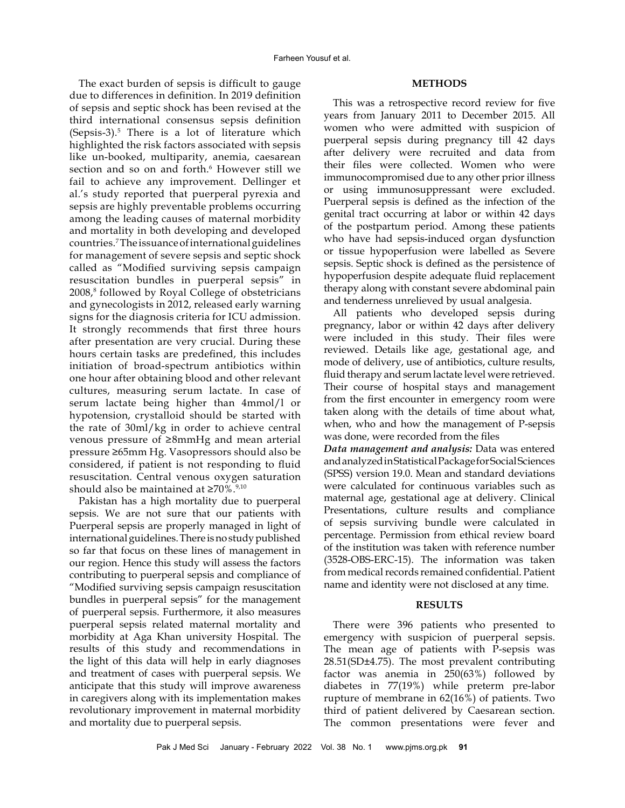The exact burden of sepsis is difficult to gauge due to differences in definition. In 2019 definition of sepsis and septic shock has been revised at the third international consensus sepsis definition  $(Sepsis-3).$ <sup>5</sup> There is a lot of literature which highlighted the risk factors associated with sepsis like un-booked, multiparity, anemia, caesarean section and so on and forth.<sup>6</sup> However still we fail to achieve any improvement. Dellinger et al.'s study reported that puerperal pyrexia and sepsis are highly preventable problems occurring among the leading causes of maternal morbidity and mortality in both developing and developed countries.<sup>7</sup> The issuance of international guidelines for management of severe sepsis and septic shock called as "Modified surviving sepsis campaign resuscitation bundles in puerperal sepsis" in 2008,<sup>8</sup> followed by Royal College of obstetricians and gynecologists in 2012, released early warning signs for the diagnosis criteria for ICU admission. It strongly recommends that first three hours after presentation are very crucial. During these hours certain tasks are predefined, this includes initiation of broad-spectrum antibiotics within one hour after obtaining blood and other relevant cultures, measuring serum lactate. In case of serum lactate being higher than 4mmol/l or hypotension, crystalloid should be started with the rate of 30ml/kg in order to achieve central venous pressure of ≥8mmHg and mean arterial pressure ≥65mm Hg. Vasopressors should also be considered, if patient is not responding to fluid resuscitation. Central venous oxygen saturation should also be maintained at  $\geq 70\%$ .<sup>9,10</sup>

Pakistan has a high mortality due to puerperal sepsis. We are not sure that our patients with Puerperal sepsis are properly managed in light of international guidelines. There is no study published so far that focus on these lines of management in our region. Hence this study will assess the factors contributing to puerperal sepsis and compliance of "Modified surviving sepsis campaign resuscitation bundles in puerperal sepsis" for the management of puerperal sepsis. Furthermore, it also measures puerperal sepsis related maternal mortality and morbidity at Aga Khan university Hospital. The results of this study and recommendations in the light of this data will help in early diagnoses and treatment of cases with puerperal sepsis. We anticipate that this study will improve awareness in caregivers along with its implementation makes revolutionary improvement in maternal morbidity and mortality due to puerperal sepsis.

#### **METHODS**

This was a retrospective record review for five years from January 2011 to December 2015. All women who were admitted with suspicion of puerperal sepsis during pregnancy till 42 days after delivery were recruited and data from their files were collected. Women who were immunocompromised due to any other prior illness or using immunosuppressant were excluded. Puerperal sepsis is defined as the infection of the genital tract occurring at labor or within 42 days of the postpartum period. Among these patients who have had sepsis-induced organ dysfunction or tissue hypoperfusion were labelled as Severe sepsis. Septic shock is defined as the persistence of hypoperfusion despite adequate fluid replacement therapy along with constant severe abdominal pain and tenderness unrelieved by usual analgesia.

All patients who developed sepsis during pregnancy, labor or within 42 days after delivery were included in this study. Their files were reviewed. Details like age, gestational age, and mode of delivery, use of antibiotics, culture results, fluid therapy and serum lactate level were retrieved. Their course of hospital stays and management from the first encounter in emergency room were taken along with the details of time about what, when, who and how the management of P-sepsis was done, were recorded from the files

*Data management and analysis:* Data was entered and analyzed in Statistical Package for Social Sciences (SPSS) version 19.0. Mean and standard deviations were calculated for continuous variables such as maternal age, gestational age at delivery. Clinical Presentations, culture results and compliance of sepsis surviving bundle were calculated in percentage. Permission from ethical review board of the institution was taken with reference number (3528-OBS-ERC-15). The information was taken from medical records remained confidential. Patient name and identity were not disclosed at any time.

#### **RESULTS**

There were 396 patients who presented to emergency with suspicion of puerperal sepsis. The mean age of patients with P-sepsis was 28.51(SD±4.75). The most prevalent contributing factor was anemia in 250(63%) followed by diabetes in 77(19%) while preterm pre-labor rupture of membrane in 62(16%) of patients. Two third of patient delivered by Caesarean section. The common presentations were fever and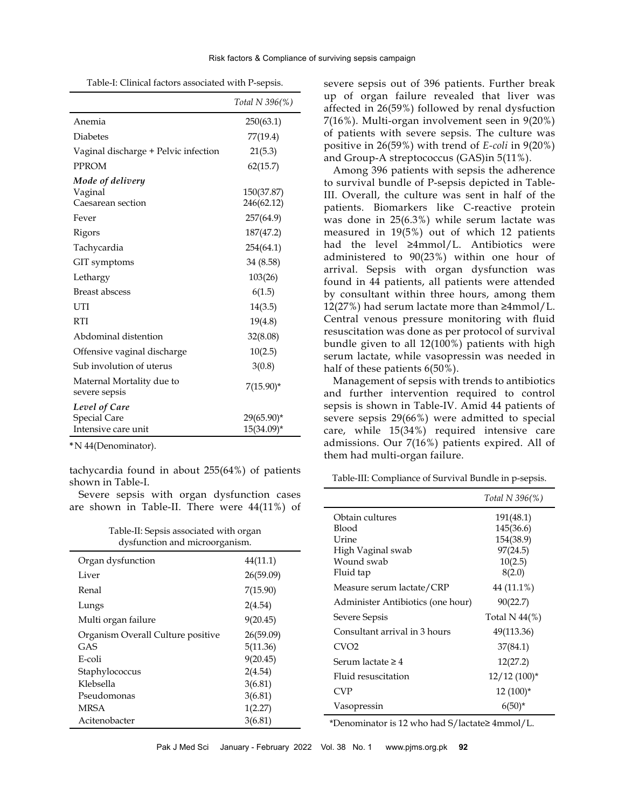Table-I: Clinical factors associated with P-sepsis.

|                                                                                                    | Total N 396(%)                                                               |
|----------------------------------------------------------------------------------------------------|------------------------------------------------------------------------------|
| Anemia                                                                                             | 250(63.1)                                                                    |
| <b>Diabetes</b>                                                                                    | 77(19.4)                                                                     |
| Vaginal discharge + Pelvic infection                                                               | 21(5.3)                                                                      |
| <b>PPROM</b>                                                                                       | 62(15.7)                                                                     |
| Mode of delivery<br>Vaginal<br>Caesarean section<br>Fever<br>Rigors<br>Tachycardia<br>GIT symptoms | 150(37.87)<br>246(62.12)<br>257(64.9)<br>187(47.2)<br>254(64.1)<br>34 (8.58) |
| Lethargy<br><b>Breast abscess</b>                                                                  | 103(26)                                                                      |
| UTI<br><b>RTI</b>                                                                                  | 6(1.5)<br>14(3.5)<br>19(4.8)                                                 |
| Abdominal distention                                                                               | 32(8.08)                                                                     |
| Offensive vaginal discharge                                                                        | 10(2.5)                                                                      |
| Sub involution of uterus                                                                           | 3(0.8)                                                                       |
| Maternal Mortality due to<br>severe sepsis                                                         | $7(15.90)^{*}$                                                               |
| Level of Care<br><b>Special Care</b><br>Intensive care unit                                        | $29(65.90)$ *<br>$15(34.09)^*$                                               |

**\***N 44(Denominator).

tachycardia found in about 255(64%) of patients shown in Table-I.

Severe sepsis with organ dysfunction cases are shown in Table-II. There were 44(11%) of

| Table-II: Sepsis associated with organ |  |
|----------------------------------------|--|
| dysfunction and microorganism.         |  |

| Organ dysfunction                 | 44(11.1)  |
|-----------------------------------|-----------|
| Liver                             | 26(59.09) |
| Renal                             | 7(15.90)  |
| Lungs                             | 2(4.54)   |
| Multi organ failure               | 9(20.45)  |
| Organism Overall Culture positive | 26(59.09) |
| GAS                               | 5(11.36)  |
| E-coli                            | 9(20.45)  |
| Staphylococcus                    | 2(4.54)   |
| Klebsella                         | 3(6.81)   |
| Pseudomonas                       | 3(6.81)   |
| <b>MRSA</b>                       | 1(2.27)   |
| Acitenobacter                     | 3(6.81)   |
|                                   |           |

severe sepsis out of 396 patients. Further break up of organ failure revealed that liver was affected in 26(59%) followed by renal dysfuction 7(16%). Multi-organ involvement seen in 9(20%) of patients with severe sepsis. The culture was positive in 26(59%) with trend of *E-coli* in 9(20%) and Group-A streptococcus (GAS)in 5(11%).

Among 396 patients with sepsis the adherence to survival bundle of P-sepsis depicted in Table-III. Overall, the culture was sent in half of the patients. Biomarkers like C-reactive protein was done in 25(6.3%) while serum lactate was measured in 19(5%) out of which 12 patients had the level  $\geq$ 4mmol/L. Antibiotics were administered to 90(23%) within one hour of arrival. Sepsis with organ dysfunction was found in 44 patients, all patients were attended by consultant within three hours, among them 12(27%) had serum lactate more than ≥4mmol/L. Central venous pressure monitoring with fluid resuscitation was done as per protocol of survival bundle given to all 12(100%) patients with high serum lactate, while vasopressin was needed in half of these patients 6(50%).

Management of sepsis with trends to antibiotics and further intervention required to control sepsis is shown in Table-IV. Amid 44 patients of severe sepsis 29(66%) were admitted to special care, while 15(34%) required intensive care admissions. Our 7(16%) patients expired. All of them had multi-organ failure.

Table-III: Compliance of Survival Bundle in p-sepsis.

|                                   | Total N 396(%)   |
|-----------------------------------|------------------|
| Obtain cultures                   | 191(48.1)        |
| Blood                             | 145(36.6)        |
| Urine                             | 154(38.9)        |
| High Vaginal swab                 | 97(24.5)         |
| Wound swab                        | 10(2.5)          |
| Fluid tap                         | 8(2.0)           |
| Measure serum lactate/CRP         | 44 (11.1%)       |
| Administer Antibiotics (one hour) | 90(22.7)         |
| Severe Sepsis                     | Total N $44\%$ ) |
| Consultant arrival in 3 hours     | 49(113.36)       |
| CVO <sub>2</sub>                  | 37(84.1)         |
| Serum lactate $\geq 4$            | 12(27.2)         |
| Fluid resuscitation               | $12/12$ $(100)*$ |
| <b>CVP</b>                        | $12(100)*$       |
| Vasopressin                       | $6(50)*$         |

\*Denominator is 12 who had S/lactate≥ 4mmol/L.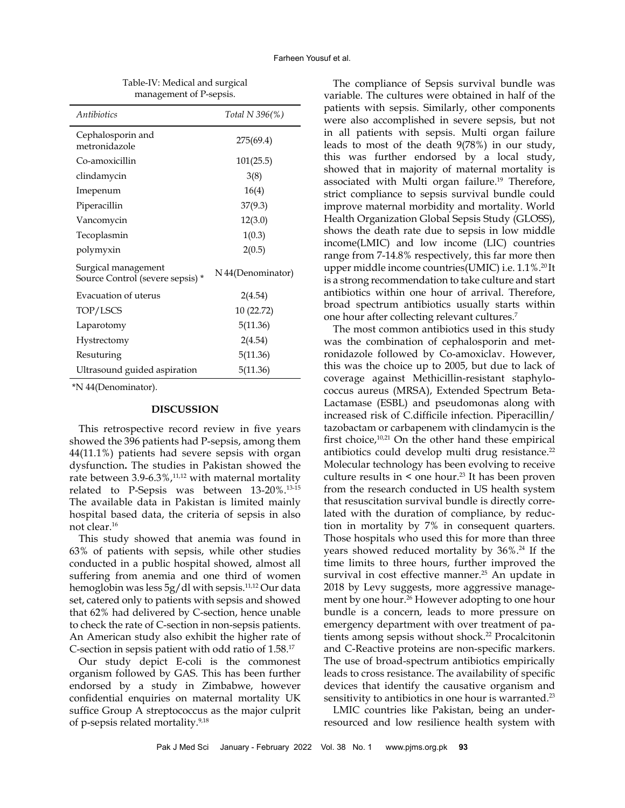| Antibiotics                                            | Total N 396(%)    |
|--------------------------------------------------------|-------------------|
| Cephalosporin and<br>metronidazole                     | 275(69.4)         |
| Co-amoxicillin                                         | 101(25.5)         |
| clindamycin                                            | 3(8)              |
| Imepenum                                               | 16(4)             |
| Piperacillin                                           | 37(9.3)           |
| Vancomycin                                             | 12(3.0)           |
| Tecoplasmin                                            | 1(0.3)            |
| polymyxin                                              | 2(0.5)            |
| Surgical management<br>Source Control (severe sepsis)* | N 44(Denominator) |
| Evacuation of uterus                                   | 2(4.54)           |
| TOP/LSCS                                               | 10 (22.72)        |
| Laparotomy                                             | 5(11.36)          |
| Hystrectomy                                            | 2(4.54)           |
| Resuturing                                             | 5(11.36)          |
| Ultrasound guided aspiration                           | 5(11.36)          |

Table-IV: Medical and surgical management of P-sepsis.

\*N 44(Denominator).

#### **DISCUSSION**

This retrospective record review in five years showed the 396 patients had P-sepsis, among them 44(11.1%) patients had severe sepsis with organ dysfunction**.** The studies in Pakistan showed the rate between 3.9-6.3%,<sup>11,12</sup> with maternal mortality related to P-Sepsis was between 13-20%.13-15 The available data in Pakistan is limited mainly hospital based data, the criteria of sepsis in also not clear.<sup>16</sup>

This study showed that anemia was found in 63% of patients with sepsis, while other studies conducted in a public hospital showed, almost all suffering from anemia and one third of women hemoglobin was less 5g/dl with sepsis.<sup>11,12</sup> Our data set, catered only to patients with sepsis and showed that 62% had delivered by C-section, hence unable to check the rate of C-section in non-sepsis patients. An American study also exhibit the higher rate of C-section in sepsis patient with odd ratio of 1.58.<sup>17</sup>

Our study depict E-coli is the commonest organism followed by GAS. This has been further endorsed by a study in Zimbabwe, however confidential enquiries on maternal mortality UK suffice Group A streptococcus as the major culprit of p-sepsis related mortality.<sup>9,18</sup>

The compliance of Sepsis survival bundle was variable. The cultures were obtained in half of the patients with sepsis. Similarly, other components were also accomplished in severe sepsis, but not in all patients with sepsis. Multi organ failure leads to most of the death 9(78%) in our study, this was further endorsed by a local study, showed that in majority of maternal mortality is associated with Multi organ failure.<sup>19</sup> Therefore, strict compliance to sepsis survival bundle could improve maternal morbidity and mortality. World Health Organization Global Sepsis Study (GLOSS), shows the death rate due to sepsis in low middle income(LMIC) and low income (LIC) countries range from 7-14.8% respectively, this far more then upper middle income countries(UMIC) i.e. 1.1%.<sup>20</sup>It is a strong recommendation to take culture and start antibiotics within one hour of arrival. Therefore, broad spectrum antibiotics usually starts within one hour after collecting relevant cultures.<sup>7</sup>

The most common antibiotics used in this study was the combination of cephalosporin and metronidazole followed by Co-amoxiclav. However, this was the choice up to 2005, but due to lack of coverage against Methicillin-resistant staphylococcus aureus (MRSA), Extended Spectrum Beta-Lactamase (ESBL) and pseudomonas along with increased risk of C.difficile infection. Piperacillin/ tazobactam or carbapenem with clindamycin is the first choice,<sup>10,21</sup> On the other hand these empirical antibiotics could develop multi drug resistance.<sup>22</sup> Molecular technology has been evolving to receive culture results in  $\leq$  one hour.<sup>23</sup> It has been proven from the research conducted in US health system that resuscitation survival bundle is directly correlated with the duration of compliance, by reduction in mortality by 7% in consequent quarters. Those hospitals who used this for more than three years showed reduced mortality by 36%.<sup>24</sup> If the time limits to three hours, further improved the survival in cost effective manner.<sup>25</sup> An update in 2018 by Levy suggests, more aggressive management by one hour.<sup>26</sup> However adopting to one hour bundle is a concern, leads to more pressure on emergency department with over treatment of patients among sepsis without shock.<sup>22</sup> Procalcitonin and C-Reactive proteins are non-specific markers. The use of broad-spectrum antibiotics empirically leads to cross resistance. The availability of specific devices that identify the causative organism and sensitivity to antibiotics in one hour is warranted.<sup>23</sup>

LMIC countries like Pakistan, being an underresourced and low resilience health system with